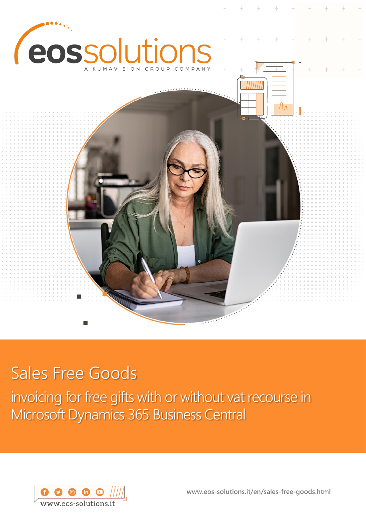

# Sales Free Goods

invoicing for free gifts with or without vat recourse in Microsoft Dynamics 365 Business Central



**www.eos-solutions.it/en/sales-free-goods.html**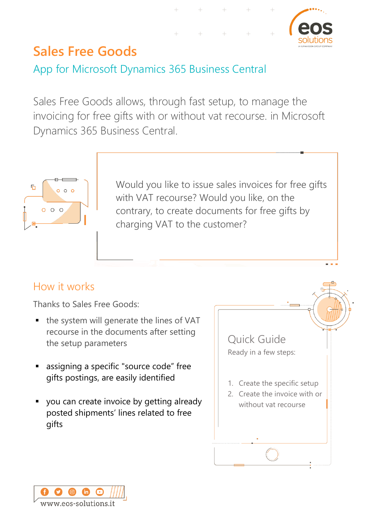

## **Sales Free Goods**

App for Microsoft Dynamics 365 Business Central

Sales Free Goods allows, through fast setup, to manage the invoicing for free gifts with or without vat recourse. in Microsoft Dynamics 365 Business Central.



Would you like to issue sales invoices for free gifts with VAT recourse? Would you like, on the contrary, to create documents for free gifts by charging VAT to the customer?

### How it works

Thanks to Sales Free Goods:

- $\blacksquare$  the system will generate the lines of VAT recourse in the documents after setting the setup parameters
- assigning a specific "source code" free gifts postings, are easily identified
- you can create invoice by getting already posted shipments' lines related to free gifts



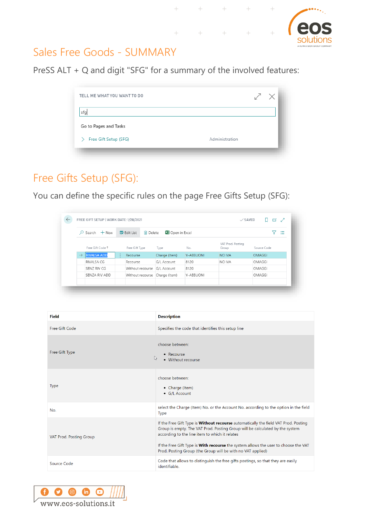

 $^{+}$ 

#### Sales Free Goods - SUMMARY

PreSS ALT + Q and digit "SFG" for a summary of the involved features:

| TELL ME WHAT YOU WANT TO DO | $\diagup$      | $\times$ |
|-----------------------------|----------------|----------|
| sfg                         |                |          |
| Go to Pages and Tasks       |                |          |
| Free Gift Setup (SFG)       | Administration |          |
|                             |                |          |

 $+$ 

 $\! +$ 

 $+$ 

 $+$ 

## Free Gifts Setup (SFG):

You can define the specific rules on the page Free Gifts Setup (SFG):

|               | $\beta$ Search $+$ New |        | <b>取</b> Edit List<br>lii Delete | <b>XE</b> Open in Excel |           |                            |               | 這 |
|---------------|------------------------|--------|----------------------------------|-------------------------|-----------|----------------------------|---------------|---|
|               | Free Gift Code 1       |        | Free Gift Type                   | Type                    | No.       | VAT Prod. Posting<br>Group | Source Code   |   |
| $\rightarrow$ | <b>RIVALSA ADD</b>     | $\sim$ | Recourse                         | Charge (Item)           | V-ABBUONI | NO IVA                     | <b>OMAGGI</b> |   |
|               | RIVALSA CG             |        | Recourse                         | G/L Account             | 8120      | NO IVA                     | OMAGGI        |   |
|               | SENZ RIV CG            |        | Without recourse                 | G/L Account             | 8120      |                            | OMAGGI        |   |
|               | SENZA RIV ADD          |        | Without recourse                 | Charge (Item)           | V-ABBUONI |                            | OMAGGI        |   |

| <b>Field</b>            | <b>Description</b>                                                                                                                                                                                                                                                                                                                                                          |
|-------------------------|-----------------------------------------------------------------------------------------------------------------------------------------------------------------------------------------------------------------------------------------------------------------------------------------------------------------------------------------------------------------------------|
| Free Gift Code          | Specifies the code that identifies this setup line                                                                                                                                                                                                                                                                                                                          |
| Free Gift Type          | choose between:<br>• Recourse<br>$\mathbb{Z}$<br>• Without recourse                                                                                                                                                                                                                                                                                                         |
| <b>Type</b>             | choose between:<br>• Charge (Item)<br>• G/L Account                                                                                                                                                                                                                                                                                                                         |
| No.                     | select the Charge (Item) No. or the Account No. according to the option in the field<br><b>Type</b>                                                                                                                                                                                                                                                                         |
| VAT Prod. Posting Group | If the Free Gift Type is Without recourse automatically the field VAT Prod. Posting<br>Group is empty. The VAT Prod. Posting Group will be calculated by the system<br>according to the line item to which it relates<br>If the Free Gift Type is With recourse the system allows the user to choose the VAT<br>Prod. Posting Group (the Group will be with no VAT applied) |
| Source Code             | Code that allows to distinguish the free gifts postings, so that they are easily<br>identifiable.                                                                                                                                                                                                                                                                           |

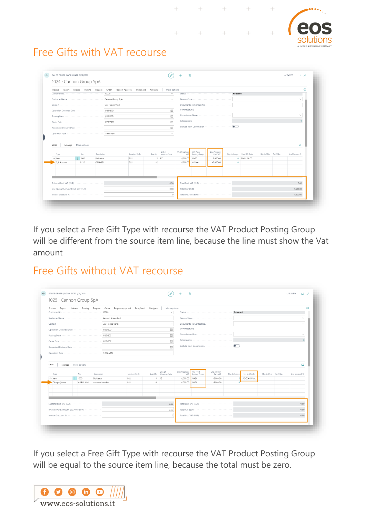$\rightarrow$  $+$ 

 $+$ 

 $+$ 



## Free Gifts with VAT recourse

|                          |                     | Process Report Release Posting Prepare Order Request Approval Print/Send Navigate |               |      | More options                     |                         |                                                                                                                                                                                                                                      |                          |                               |              |                         | റ               |
|--------------------------|---------------------|-----------------------------------------------------------------------------------|---------------|------|----------------------------------|-------------------------|--------------------------------------------------------------------------------------------------------------------------------------------------------------------------------------------------------------------------------------|--------------------------|-------------------------------|--------------|-------------------------|-----------------|
|                          |                     |                                                                                   |               |      | $\checkmark$                     |                         | Status <i>interesting the company of the company of the company of the company of the company of the company of the company of the company of the company of the company of the company of the company of the company of the com</i> |                          | Released                      |              |                         |                 |
|                          |                     |                                                                                   |               |      | $\sim$                           |                         |                                                                                                                                                                                                                                      |                          |                               |              |                         |                 |
|                          |                     |                                                                                   |               |      |                                  |                         | Documents-To Contact No.                                                                                                                                                                                                             |                          |                               |              |                         |                 |
|                          |                     |                                                                                   |               |      | 自                                | COMMISSIONS             |                                                                                                                                                                                                                                      |                          |                               |              |                         |                 |
|                          |                     |                                                                                   |               |      | œ                                |                         | Commission Group                                                                                                                                                                                                                     |                          |                               |              |                         | $\checkmark$    |
|                          |                     |                                                                                   |               |      | m                                |                         |                                                                                                                                                                                                                                      |                          |                               |              |                         |                 |
|                          |                     |                                                                                   |               |      |                                  |                         |                                                                                                                                                                                                                                      |                          |                               |              |                         |                 |
| Requested Delivery Date  |                     |                                                                                   |               |      | 曲                                |                         |                                                                                                                                                                                                                                      |                          |                               |              |                         |                 |
|                          |                     |                                                                                   |               |      |                                  |                         |                                                                                                                                                                                                                                      |                          |                               |              |                         |                 |
| Lines                    | Manage More options |                                                                                   |               |      |                                  |                         |                                                                                                                                                                                                                                      |                          |                               |              |                         | 53              |
|                          |                     |                                                                                   |               |      |                                  |                         |                                                                                                                                                                                                                                      |                          |                               |              |                         |                 |
| Type                     | No.                 | Description                                                                       | Location Code |      | Unit of<br>Quantity Measure Code | Unit Price Excl.<br>VAT | VAT Prod.<br>Posting Group                                                                                                                                                                                                           | Line Amount<br>Excl. VAT | Qty. to Assign Free Gift Code |              | Qty. to Ship Tariff No. | Line Discount % |
| $\rightarrow$ Item       | $\frac{1}{1000}$    | Bicicletta                                                                        | <b>BLU</b>    |      | 2 PZ                             | 4.000.00 IVA20          |                                                                                                                                                                                                                                      | 8.000.00                 |                               | 0 RIVALSA CG |                         |                 |
| G/L Account              | 8120                | OMAGGI                                                                            | BLU           | $-2$ |                                  | 4,000.00 NO IVA         |                                                                                                                                                                                                                                      | $-8,000.00$              | $\circ$                       |              |                         |                 |
|                          |                     |                                                                                   |               |      |                                  |                         |                                                                                                                                                                                                                                      |                          |                               |              |                         |                 |
|                          |                     |                                                                                   |               |      |                                  |                         |                                                                                                                                                                                                                                      |                          |                               |              |                         |                 |
|                          |                     |                                                                                   |               |      |                                  |                         |                                                                                                                                                                                                                                      |                          |                               |              |                         |                 |
| Subtotal Excl. VAT (EUR) |                     |                                                                                   |               |      | 0.00                             |                         |                                                                                                                                                                                                                                      |                          |                               |              |                         | 0.00            |

 $+$ 

 $+$ 

If you select a Free Gift Type with recourse the VAT Product Posting Group will be different from the source item line, because the line must show the Vat amount

### Free Gifts without VAT recourse

|                                      |           | Process Report Release Posting Prepare | Order Request Approval Print/Send Navigate |      | More options                     |                         |                            |                          |                |                |                         |                 | ⋒ |
|--------------------------------------|-----------|----------------------------------------|--------------------------------------------|------|----------------------------------|-------------------------|----------------------------|--------------------------|----------------|----------------|-------------------------|-----------------|---|
|                                      |           | 10000                                  |                                            |      | $\checkmark$                     |                         |                            |                          | Released       |                |                         |                 |   |
| Customer Name                        |           | Cannon Group SpA                       |                                            |      | $\cdots$                         |                         |                            |                          |                |                |                         |                 |   |
|                                      |           | Sig. Franco Verdi                      |                                            |      | $\sim$                           |                         |                            | Documents-To Contact No. |                |                |                         | $\sim$          |   |
| Operation Occurred Date              |           | 1/28/2021                              |                                            |      | 問                                | COMMISSIONS             |                            |                          |                |                |                         |                 |   |
| Posting Date                         |           | 1/28/2021                              |                                            |      | 問                                |                         |                            | Commission Group         |                |                |                         | $\checkmark$    |   |
|                                      |           | 1/28/2021                              |                                            |      | 茴                                |                         |                            |                          |                |                |                         |                 |   |
| Requested Delivery Date              |           |                                        |                                            |      | 問                                |                         |                            | Exclude from Commission  | $\bullet$      |                |                         |                 |   |
| Operation Type                       |           | IT-FN-VEN                              |                                            |      | $\cdots$                         |                         |                            |                          |                |                |                         |                 |   |
|                                      |           |                                        |                                            |      |                                  |                         |                            |                          |                |                |                         |                 |   |
| Manage More options<br>Lines         |           |                                        |                                            |      |                                  |                         |                            |                          |                |                |                         | €               |   |
| Type                                 | No.       | Description                            | Location Code                              |      | Unit of<br>Quantity Measure Code | Unit Price Excl.<br>VAT | VAT Prod.<br>Posting Group | Line Amount<br>Excl. VAT | Qty. to Assign | Free Gift Code | Qty. to Ship Tariff No. | Line Discount % |   |
| $\rightarrow$ Item                   | 1000      | Bicicletta                             | BLU                                        |      | $4$ $PZ$                         | 4,000.00                | <b>IVA20</b>               | 16,000.00                |                | SENZA RIV A    |                         |                 |   |
| Charge (Item)                        | V-ABBUONI | Abbuoni vendite                        | BLU                                        | $-4$ |                                  | 4,000.00 IVA20          |                            | $-16,000.00$             |                |                |                         |                 |   |
|                                      |           |                                        |                                            |      |                                  |                         |                            |                          |                |                |                         |                 |   |
|                                      |           |                                        |                                            |      |                                  |                         |                            |                          |                |                |                         |                 |   |
| Subtotal Excl. VAT (EUR)             |           |                                        |                                            |      | 0.00                             |                         |                            | Total Excl. VAT (EUR)    |                |                |                         | 0.00            |   |
| Inv. Discount Amount Excl. VAT (EUR) |           |                                        |                                            |      | 0.00                             |                         |                            | Total VAT (EUR)          |                |                |                         | 0.00            |   |

If you select a Free Gift Type with recourse the VAT Product Posting Group will be equal to the source item line, because the total must be zero.